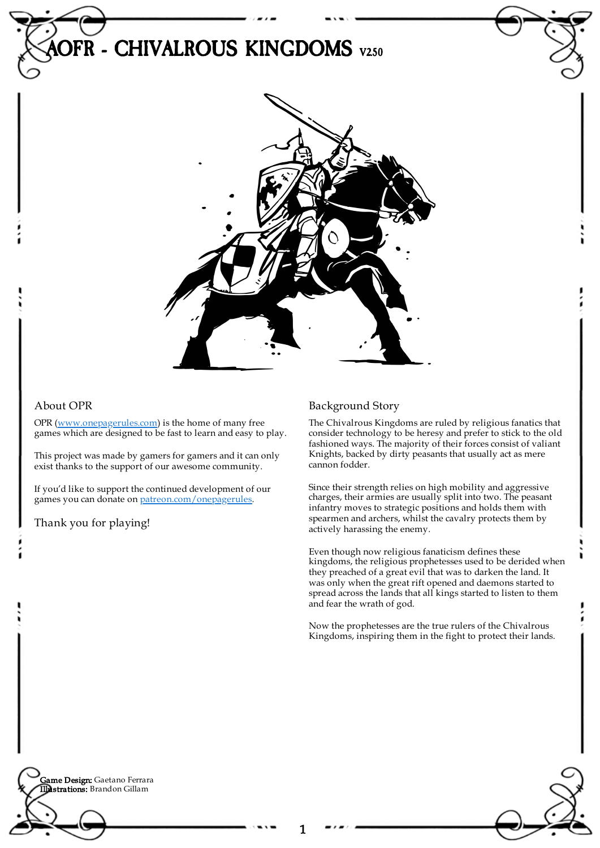

### About OPR

OPR [\(www.onepagerules.com](https://webapp.onepagerules.com/army-books/view/FF4UemWHh60T1VRq~6/https//www.onepagerules.com)) is the home of many free games which are designed to be fast to learn and easy to play.

This project was made by gamers for gamers and it can only exist thanks to the support of our awesome community.

If you'd like to support the continued development of our games you can donate on [patreon.com/onepagerules](https://www.patreon.com/onepagerules).

Thank you for playing!

#### Background Story

The Chivalrous Kingdoms are ruled by religious fanatics that consider technology to be heresy and prefer to stick to the old fashioned ways. The majority of their forces consist of valiant Knights, backed by dirty peasants that usually act as mere cannon fodder.

Since their strength relies on high mobility and aggressive charges, their armies are usually split into two. The peasant infantry moves to strategic positions and holds them with spearmen and archers, whilst the cavalry protects them by actively harassing the enemy.

Even though now religious fanaticism defines these kingdoms, the religious prophetesses used to be derided when they preached of a great evil that was to darken the land. It was only when the great rift opened and daemons started to spread across the lands that all kings started to listen to them and fear the wrath of god.

Now the prophetesses are the true rulers of the Chivalrous Kingdoms, inspiring them in the fight to protect their lands.

**Game Design:** Gaetano Ferrara Illustrations: Brandon Gillam